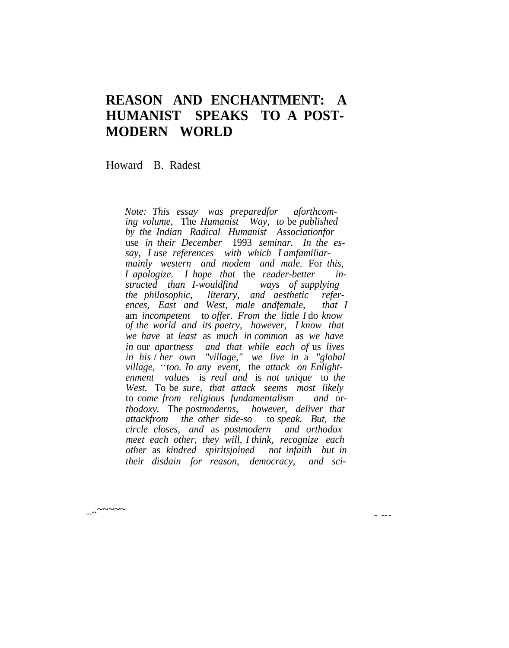## **REASON AND ENCHANTMENT: A HUMANIST SPEAKS TO A POST-MODERN WORLD**

Howard B. Radest

\_..~~~~~

*Note: This essay was preparedfor aforthcoming volume,* The *Humanist Way, to* be *published by the Indian Radical Humanist Associationfor* use *in their December* 1993 *seminar. In the essay, I use references with which I amfamiliarmainly western and modem and male.* For *this, I apologize. I hope that* the *reader-better instructed than I-wouldfind ways of supplying kiterary, and aesthetic references, East and West, male andfemale, that I* am *incompetent* to *offer. From the little I* do *know of the world and its poetry, however, I know that we have* at *least* as *much in common* as *we have in* our *apartness and that while each of* us *lives in his* / *her own "village," we live in* a *"global village,* ..*too. In any event,* the *attack on Enlightenment values* is *real and* is *not unique* to *the West.* To be *sure, that attack seems most likely* to *come from religious fundamentalism and* or*thodoxy.* The *postmoderns, however, deliver that attackfrom the other side-so* to *speak. But, the circle closes, and* as *postmodern and orthodox meet each other, they will, I think, recognize each other* as *kindred spiritsjoined not infaith but in their disdain for reason, democracy, and sci-*

- ---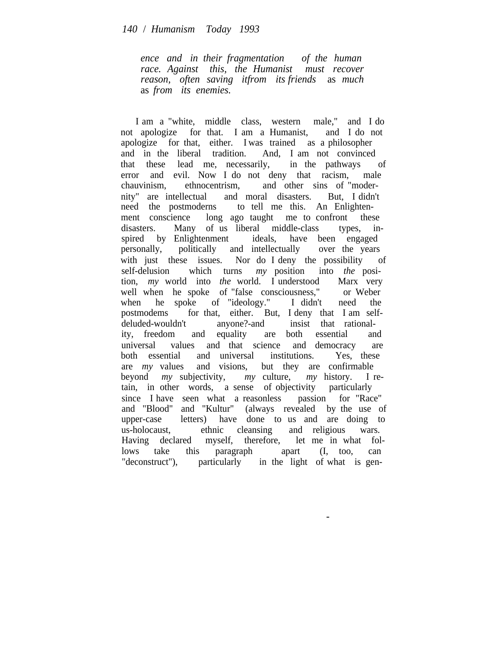*ence and in their fragmentation of the human race. Against this, the Humanist must recover reason, often saving itfrom its friends* as *much* as *from its enemies.*

I am a "white, middle class, western male," and I do not apologize for that. I am a Humanist, and I do not apologize for that, either. I was trained as a philosopher and in the liberal tradition. And, I am not convinced that these lead me, necessarily, in the pathways of error and evil. Now I do not deny that racism, male chauvinism, ethnocentrism, and other sins of "modernity" are intellectual and moral disasters. But, I didn't need the postmoderns to tell me this. An Enlightenment conscience long ago taught me to confront these disasters. Many of us liberal middle-class types, inspired by Enlightenment ideals, have been engaged personally, politically and intellectually over the years with just these issues. Nor do I deny the possibility of self-delusion which turns *my* position into *the* position, *my* world into *the* world. I understood Marx very well when he spoke of "false consciousness," or Weber when he spoke of "ideology." I didn't need the postmodems for that, either. But, I deny that I am selfdeluded-wouldn't anyone?-and insist that rationality, freedom and equality are both essential and universal values and that science and democracy are both essential and universal institutions. Yes, these are *my* values and visions, but they are confirmable beyond *my* subjectivity, *my* culture, *my* history. In *my* culture, *my* history. I retain, in other words, a sense of objectivity particularly since I have seen what a reasonless passion for "Race" and "Blood" and "Kultur" (always revealed by the use of upper-case letters) have done to us and are doing to us-holocaust, ethnic cleansing and religious wars. Having declared myself, therefore, let me in what follows take this paragraph apart (I, too, can "deconstruct"), particularly in the light of what is gen-

-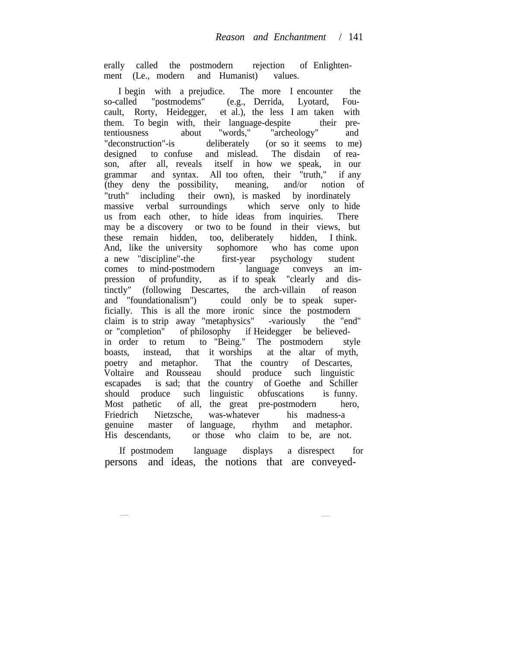erally called the postmodern rejection of Enlightenment (Le., modern and Humanist) values.

I begin with a prejudice. The more I encounter the so-called "postmodems" (e.g., Derrida, Lyotard, Foucault, Rorty, Heidegger, et al.), the less I am taken with them. To begin with, their language-despite their pretentiousness about "words," "archeology" and "deconstruction"-is deliberately (or so it seems to me) designed to confuse and mislead. The disdain of reason, after all, reveals itself in how we speak, in our grammar and syntax. All too often, their "truth," if any (they deny the possibility, meaning, and/or notion of "truth" including their own), is masked by inordinately massive verbal surroundings which serve only to hide us from each other, to hide ideas from inquiries. There may be a discovery or two to be found in their views, but these remain hidden, too, deliberately hidden, I think. And, like the university sophomore who has come upon a new "discipline"-the first-year psychology student comes to mind-postmodern language conveys an impression of profundity, as if to speak "clearly and distinctly" (following Descartes, the arch-villain of reason and "foundationalism") could only be to speak superficially. This is all the more ironic since the postmodern claim is to strip away "metaphysics" -variously the "end" or "completion" of philosophy if Heidegger be believedin order to retum to "Being." The postmodern style boasts, instead, that it worships at the altar of myth, poetry and metaphor. That the country of Descartes, Voltaire and Rousseau should produce such linguistic escapades is sad; that the country of Goethe and Schiller should produce such linguistic obfuscations is funny. Most pathetic of all, the great pre-postmodern hero, Friedrich Nietzsche, was-whatever his madness-a genuine master of language, rhythm and metaphor. His descendants, or those who claim to be, are not.

If postmodem language displays a disrespect for persons and ideas, the notions that are conveyed-

-..------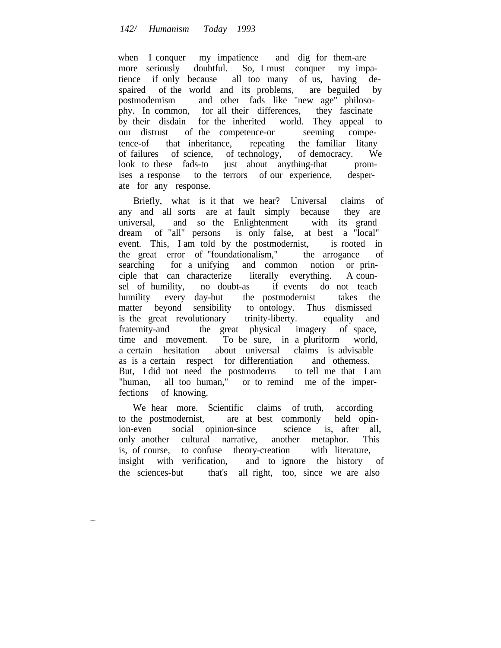when I conquer my impatience and dig for them-are more seriously doubtful. So, I must conquer my impatience if only because all too many of us, having despaired of the world and its problems, are beguiled by postmodemism and other fads like "new age" philosophy. In common, for all their differences, they fascinate by their disdain for the inherited world. They appeal to our distrust of the competence-or seeming competence-of that inheritance, repeating the familiar litany of failures of science, of technology, of democracy. We look to these fads-to just about anything-that promises a response to the terrors of our experience, desperate for any response.

Briefly, what is it that we hear? Universal claims of any and all sorts are at fault simply because they are universal, and so the Enlightenment with its grand dream of "all" persons is only false, at best a "local" event. This, I am told by the postmodernist, is rooted in the great error of "foundationalism," the arrogance of searching for a unifying and common notion or principle that can characterize literally everything. A counsel of humility, no doubt-as if events do not teach humility every day-but the postmodernist takes the matter beyond sensibility to ontology. Thus dismissed is the great revolutionary trinity-liberty. equality and fratemity-and the great physical imagery of space, time and movement. To be sure, in a pluriform world, a certain hesitation about universal claims is advisable as is a certain respect for differentiation and othemess. But, I did not need the postmoderns to tell me that I am "human, all too human," or to remind me of the imperfections of knowing.

We hear more. Scientific claims of truth, according to the postmodernist, are at best commonly held opinion-even social opinion-since science is, after all, only another cultural narrative, another metaphor. This is, of course, to confuse theory-creation with literature, insight with verification, and to ignore the history of the sciences-but that's all right, too, since we are also

----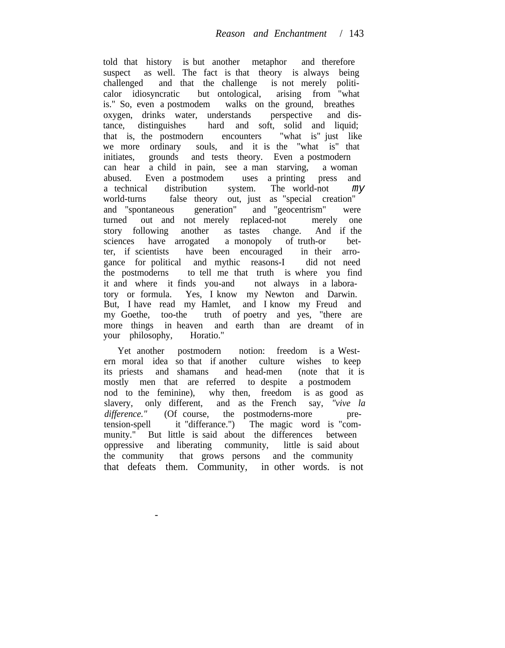told that history is but another metaphor and therefore suspect as well. The fact is that theory is always being challenged and that the challenge is not merely politicalor idiosyncratic but ontological, arising from "what is." So, even a postmodem walks on the ground, breathes oxygen, drinks water, understands perspective and distance, distinguishes hard and soft, solid and liquid;<br>that is, the postmodern encounters "what is" just like that is, the postmodern encounters we more ordinary souls, and it is the "what is" that initiates, grounds and tests theory. Even a postmodern can hear a child in pain, see a man starving, a woman abused. Even a postmodem uses a printing press and a technical distribution system. The world-not my world-turns false theory out, just as "special creation" and "spontaneous generation" and "geocentrism" were turned out and not merely replaced-not merely one story following another as tastes change. And if the sciences have arrogated a monopoly of truth-or better, if scientists have been encouraged in their arrogance for political and mythic reasons-I did not need the postmoderns to tell me that truth is where you find it and where it finds you-and not always in a laboratory or formula. Yes, I know my Newton and Darwin. But, I have read my Hamlet, and I know my Freud and my Goethe, too-the truth of poetry and yes, "there are more things in heaven and earth than are dreamt of in your philosophy, Horatio."

Yet another postmodern notion: freedom is a Western moral idea so that if another culture wishes to keep its priests and shamans and head-men (note that it is mostly men that are referred to despite a postmodem nod to the feminine), why then, freedom is as good as slavery, only different, and as the French say, *"vive la* difference." (Of course, the postmoderns-more pretension-spell it "differance.") The magic word is "community." But little is said about the differences between oppressive and liberating community, little is said about the community that grows persons and the community that defeats them. Community, in other words. is not

-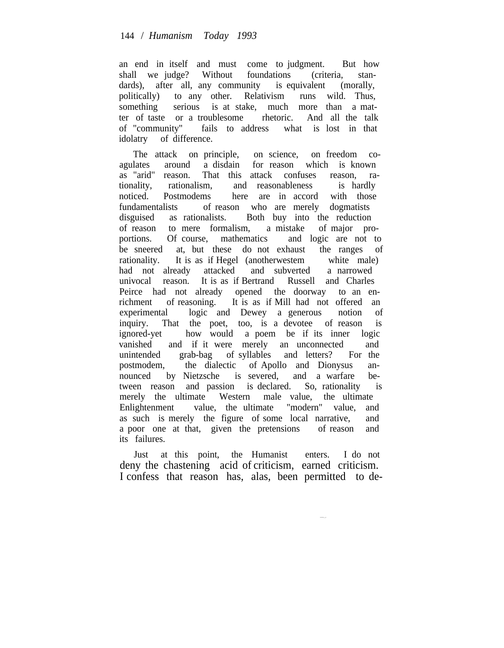an end in itself and must come to judgment. But how shall we judge? Without foundations (criteria, standards), after all, any community is equivalent (morally, politically) to any other. Relativism runs wild. Thus, something serious is at stake, much more than a matter of taste or a troublesome rhetoric. And all the talk of "community" fails to address what is lost in that idolatry of difference.

The attack on principle, on science, on freedom coagulates around a disdain for reason which is known as "arid" reason. That this attack confuses reason, rationality, rationalism, and reasonableness is hardly noticed. Postmodems here are in accord with those fundamentalists of reason who are merely dogmatists disguised as rationalists. Both buy into the reduction of reason to mere formalism, a mistake of major proportions. Of course, mathematics and logic are not to be sneered at, but these do not exhaust the ranges of rationality. It is as if Hegel (anotherwestem white male) had not already attacked and subverted a narrowed univocal reason. It is as if Bertrand Russell and Charles Peirce had not already opened the doorway to an enrichment of reasoning. It is as if Mill had not offered an experimental logic and Dewey a generous notion of inquiry. That the poet, too, is a devotee of reason is ignored-yet how would a poem be if its inner logic vanished and if it were merely an unconnected and unintended grab-bag of syllables and letters? For the postmodem, the dialectic of Apollo and Dionysus an-<br>nounced by Nietzsche is severed, and a warfare benounced by Nietzsche is severed, and a warfare between reason and passion is declared. So, rationality is merely the ultimate Western male value, the ultimate Enlightenment value, the ultimate "modern" value, and as such is merely the figure of some local narrative, and a poor one at that, given the pretensions of reason and its failures.

Just at this point, the Humanist enters. I do not deny the chastening acid of criticism, earned criticism. I confess that reason has, alas, been permitted to de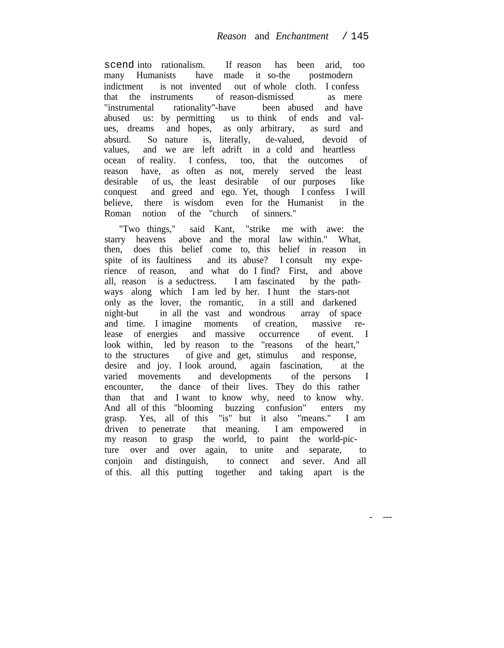scend into rationalism. If reason has been arid, too many Humanists have made it so-the postmodern indictment is not invented out of whole cloth. I confess that the instruments of reason-dismissed as mere<br>"instrumental rationality"-have been abused and have "instrumental rationality"-have been abused and have abused us: by permitting us to think of ends and values, dreams and hopes, as only arbitrary, as surd and absurd. So nature is, literally, de-valued, devoid of values, and we are left adrift in a cold and heartless ocean of reality. I confess, too, that the outcomes of reason have, as often as not, merely served the least desirable of us, the least desirable of our purposes like conquest and greed and ego. Yet, though I confess I will believe, there is wisdom even for the Humanist in the Roman notion of the "church of sinners."

"Two things," said Kant, "strike me with awe: the starry heavens above and the moral law within." What, then, does this belief come to, this belief in reason in spite of its faultiness and its abuse? I consult my experience of reason, and what do I find? First, and above all, reason is a seductress. I am fascinated by the pathways along which I am led by her. I hunt the stars-not only as the lover, the romantic, in a still and darkened night-but in all the vast and wondrous array of space and time. I imagine moments of creation, massive release of energies and massive occurrence of event. I look within, led by reason to the "reasons of the heart," to the structures of give and get, stimulus and response, desire and joy. I look around, again fascination, at the varied movements and developments of the persons I encounter, the dance of their lives. They do this rather than that and I want to know why, need to know why. And all of this "blooming buzzing confusion" enters my grasp. Yes, all of this "is" but it also "means." I am driven to penetrate that meaning. I am empowered in my reason to grasp the world, to paint the world-picture over and over again, to unite and separate, to conjoin and distinguish, to connect and sever. And all of this. all this putting together and taking apart is the

- ---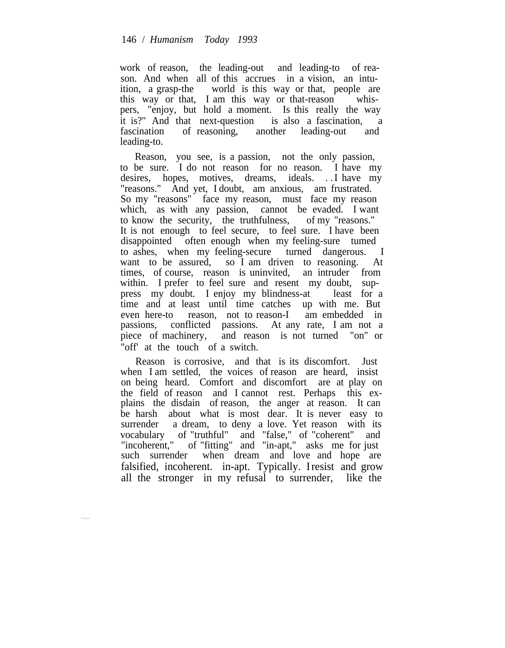work of reason, the leading-out and leading-to of reason. And when all of this accrues in a vision, an intuition, a grasp-the world is this way or that, people are this way or that, I am this way or that-reason whispers, "enjoy, but hold a moment. Is this really the way it is?" And that next-question is also a fascination, a fascination of reasoning, another leading-out and leading-to.

Reason, you see, is a passion, not the only passion, to be sure. I do not reason for no reason. I have my desires, hopes, motives, dreams, ideals. . .I have my "reasons." And yet, I doubt, am anxious, am frustrated. So my "reasons" face my reason, must face my reason which, as with any passion, cannot be evaded. I want to know the security, the truthfulness, of my "reasons." It is not enough to feel secure, to feel sure. I have been disappointed often enough when my feeling-sure tumed to ashes, when my feeling-secure turned dangerous. I want to be assured, so I am driven to reasoning. At times, of course, reason is uninvited, an intruder from within. I prefer to feel sure and resent my doubt, suppress my doubt. I enjoy my blindness-at least for a time and at least until time catches up with me. But even here-to reason, not to reason-I am embedded in passions, conflicted passions. At any rate, I am not a piece of machinery, and reason is not turned "on" or "off' at the touch of a switch.

Reason is corrosive, and that is its discomfort. Just when I am settled, the voices of reason are heard, insist on being heard. Comfort and discomfort are at play on the field of reason and I cannot rest. Perhaps this explains the disdain of reason, the anger at reason. It can be harsh about what is most dear. It is never easy to surrender a dream, to deny a love. Yet reason with its vocabulary of "truthful" and "false," of "coherent" and "incoherent," of "fitting" and "in-apt," asks me for just of "fitting" and "in-apt," asks me for just such surrender when dream and love and hope are falsified, incoherent. in-apt. Typically. Iresist and grow all the stronger in my refusal to surrender, like the